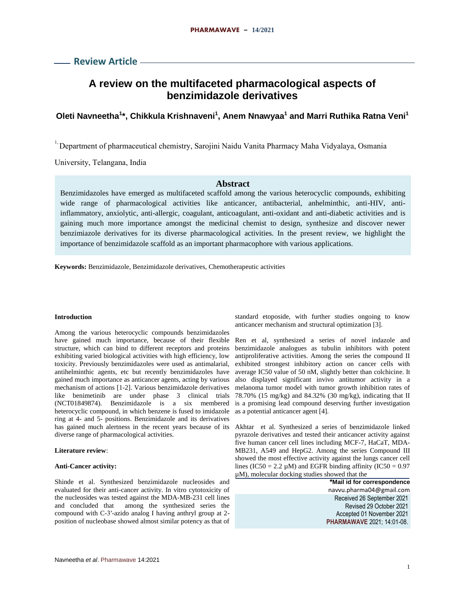# **Review Article**

# **A review on the multifaceted pharmacological aspects of benzimidazole derivatives**

# **Oleti Navneetha<sup>1</sup> \*, Chikkula Krishnaveni<sup>1</sup> , Anem Nnawyaa<sup>1</sup> and Marri Ruthika Ratna Veni<sup>1</sup>**

<sup>1,</sup> Department of pharmaceutical chemistry, Sarojini Naidu Vanita Pharmacy Maha Vidyalaya, Osmania

University, Telangana, India

## **Abstract**

Benzimidazoles have emerged as multifaceted scaffold among the various heterocyclic compounds, exhibiting wide range of pharmacological activities like anticancer, antibacterial, anhelminthic, anti-HIV, antiinflammatory, anxiolytic, anti-allergic, coagulant, anticoagulant, anti-oxidant and anti-diabetic activities and is gaining much more importance amongst the medicinal chemist to design, synthesize and discover newer benzimiazole derivatives for its diverse pharmacological activities. In the present review, we highlight the importance of benzimidazole scaffold as an important pharmacophore with various applications.

**Keywords:** Benzimidazole, Benzimidazole derivatives, Chemotherapeutic activities

### **Introduction**

Among the various heterocyclic compounds benzimidazoles have gained much importance, because of their flexible structure, which can bind to different receptors and proteins exhibiting varied biological activities with high efficiency, low toxicity. Previously benzimidazoles were used as antimalarial, antihelminthic agents, etc but recently benzimidazoles have gained much importance as anticancer agents, acting by various mechanism of actions [1-2]. Various benzimidazole derivatives like benimetinib are under phase 3 clinical trials (NCT01849874). Benzimidazole is a six membered heterocyclic compound, in which benzene is fused to imidazole ring at 4- and 5- positions. Benzimidazole and its derivatives has gained much alertness in the recent years because of its Akhtar et al. Synthesized a series of benzimidazole linked diverse range of pharmacological activities.

### **Literature review**:

### **Anti-Cancer activity:**

Shinde et al. Synthesized benzimidazole nucleosides and evaluated for their anti-cancer activity. In vitro cytotoxicity of the nucleosides was tested against the MDA-MB-231 cell lines and concluded that among the synthesized series the compound with C-3ʹ-azido analog I having anthryl group at 2 position of nucleobase showed almost similar potency as that of standard etoposide, with further studies ongoing to know anticancer mechanism and structural optimization [3].

Ren et al, synthesized a series of novel indazole and benzimidazole analogues as tubulin inhibitors with potent antiproliferative activities. Among the series the compound II exhibited strongest inhibitory action on cancer cells with average IC50 value of 50 nM, slightly better than colchicine. It also displayed significant invivo antitumor activity in a melanoma tumor model with tumor growth inhibition rates of 78.70% (15 mg/kg) and 84.32% (30 mg/kg), indicating that II is a promising lead compound deserving further investigation as a potential anticancer agent [4].

pyrazole derivatives and tested their anticancer activity against five human cancer cell lines including MCF-7, HaCaT, MDA-MB231, A549 and HepG2. Among the series Compound III showed the most effective activity against the lungs cancer cell lines (IC50 = 2.2  $\mu$ M) and EGFR binding affinity (IC50 = 0.97 µM), molecular docking studies showed that the

**\*Mail id for correspondence** navvu.pharma04@gmail.com Received 26 September 2021 Revised 29 October 2021 Accepted 01 November 2021 **PHARMAWAVE** 2021; 14:01-08.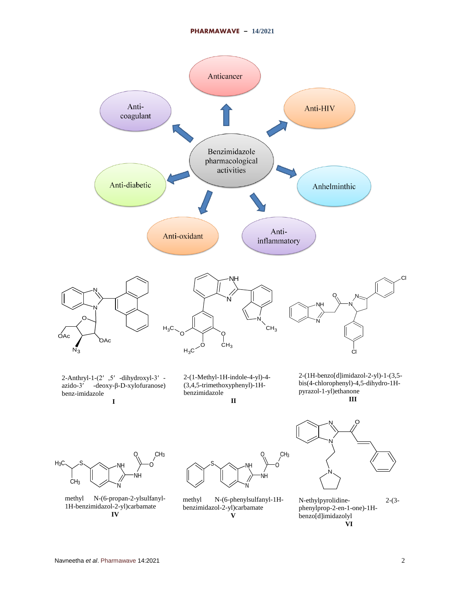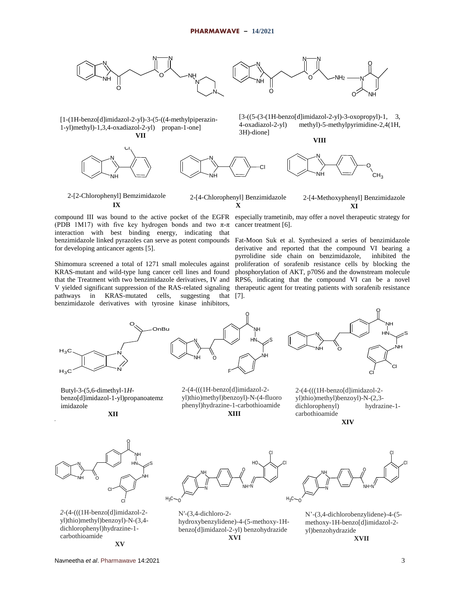



[1-(1H-benzo[d]imidazol-2-yl)-3-(5-((4-methylpiperazin-1-yl)methyl)-1,3,4-oxadiazol-2-yl) propan-1-one] **VII**





N **VIII**

[3-((5-(3-(1H-benzo[d]imidazol-2-yl)-3-oxopropyl)-1, 3, 4-oxadiazol-2-yl) methyl)-5-methylpyrimidine-2,4(1H,

Cl

3H)-dione]

2-[2-Chlorophenyl] Bemzimidazole **IX**

2-[4-Chlorophenyl] Benzimidazole **X** 2-[4-Methoxyphenyl] Benzimidazole **XI**

(PDB 1M17) with five key hydrogen bonds and two  $\pi$ - $\pi$ interaction with best binding energy, indicating that for developing anticancer agents [5].

Shimomura screened a total of 1271 small molecules against KRAS-mutant and wild-type lung cancer cell lines and found that the Treatment with two benzimidazole derivatives, IV and V yielded significant suppression of the RAS-related signaling therapeutic agent for treating patients with sorafenib resistance pathways in KRAS-mutated cells, suggesting that [7]. benzimidazole derivatives with tyrosine kinase inhibitors,



NH

 $O_{\rm c}$  $CH<sub>3</sub>$ 

benzimidazole linked pyrazoles can serve as potent compounds Fat-Moon Suk et al. Synthesized a series of benzimidazole derivative and reported that the compound VI bearing a pyrrolidine side chain on benzimidazole, inhibited the proliferation of sorafenib resistance cells by blocking the phosphorylation of AKT, p70S6 and the downstream molecule RPS6, indicating that the compound VI can be a novel





Butyl-3-(5,6-dimethyl-1*H*benzo[d]imidazol-1-yl)propanoatemz imidazole

**Anti-bacterial Activity: XII**

2-(4-(((1H-benzo[d]imidazol-2 yl)thio)methyl)benzoyl)-N-(4-fluoro phenyl)hydrazine-1-carbothioamide **XIII**

2-(4-(((1H-benzo[d]imidazol-2 yl)thio)methyl)benzoyl)-N-(2,3 dichlorophenyl) hydrazine-1 carbothioamide **XIV**



*2*-(4-(((1H-benzo[d]imidazol-2 yl)thio)methyl)benzoyl)-N-(3,4 dichlorophenyl)hydrazine-1 carbothioamide **XV**



N′-(3,4-dichloro-2 hydroxybenzylidene)-4-(5-methoxy-1Hbenzo[d]imidazol-2-yl) benzohydrazide **XVI**



N'-(3,4-dichlorobenzylidene)-4-(5 methoxy-1H-benzo[d]imidazol-2 yl)benzohydrazide **XVII**

Navneetha *et al*. Pharmawave 14:2021 3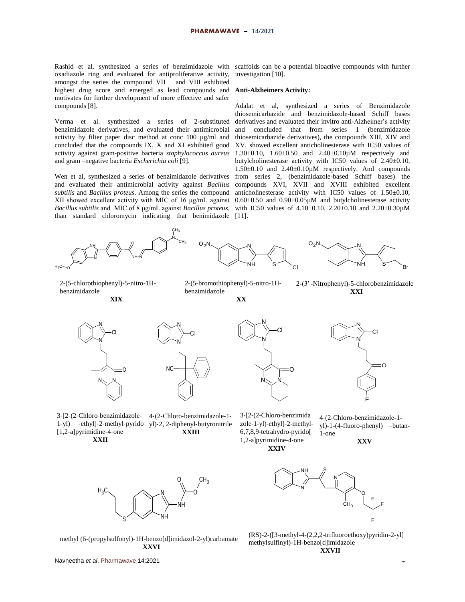oxadiazole ring and evaluated for antiproliferative activity, amongst the series the compound VII and VIII exhibited highest drug score and emerged as lead compounds and **Anti-Alzheimers Activity:** motivates for further development of more effective and safer compounds [8].

Verma et al. synthesized a series of 2-substituted benzimidazole derivatives, and evaluated their antimicrobial

activity by filter paper disc method at conc 100 µg/ml and concluded that the compounds IX, X and XI exhibited good activity against gram-positive bacteria *staphylococcus aureus* and gram –negative bacteria *Escherichia coli* [9].

Wen et al, synthesized a series of benzimidazole derivatives and evaluated their antimicrobial activity against *Bacillus subtilis* and *Bacillus proteus*. Among the series the compound XII showed excellent activity with MIC of 16 μg/mL against than standard chloromycin indicating that benimidazole [11].

Rashid et al. synthesized a series of benzimidazole with scaffolds can be a potential bioactive compounds with further investigation [10].

*Bacillus subtilis* and MIC of 8 μg/mL against *Bacillus proteus*, with IC50 values of 4.10±0.10, 2.20±0.10 and 2.20±0.30µM Adalat et al, synthesized a series of Benzimidazole thiosemicarbazide and benzimidazole-based Schiff bases derivatives and evaluated their invitro anti-Alzheimer's activity and concluded that from series 1 (benzimidazole thiosemicarbazide derivatives), the compounds XIII, XIV and XV, showed excellent anticholinesterase with IC50 values of 1.30±0.10, 1.60±0.50 and 2.40±0.10µM respectively and butylcholinesterase activity with IC50 values of 2.40±0.10, 1.50±0.10 and 2.40±0.10µM respectively. And compounds from series 2, (benzimidazole-based Schiff bases) the compounds XVI, XVII and XVIII exhibited excellent anticholinesterase activity with IC50 values of 1.50±0.10,  $0.60\pm0.50$  and  $0.90\pm0.05\mu$ M and butylcholinesterase activity



2-(5-chlorothiophenyl)-5-nitro-1Hbenzimidazole

**Anti-Tubercular Activity:** 

2-(5-bromothiophenyl)-5-nitro-1Hbenzimidazole

**XX**

2-(3′ -Nitrophenyl)-5-chlorobenzimidazole **XXI**





3‐[2‐(2‐Chloro‐benzimidazole‐ 4‐(2‐Chloro‐benzimidazole‐1‐ 1‐yl) ‐ethyl]‐2‐methyl‐pyrido yl)‐2, 2‐diphenyl‐butyronitrile [1,2‐a]pyrimidine‐4‐one

**XXII**



3‐[2‐(2‐Chloro‐benzimida zole‐1‐yl)‐ethyl]‐2‐methyl‐ 6,7,8,9‐tetrahydro‐pyrido[ 1,2‐a]pyrimidine‐4‐one

**XXIV**

 $N_{\rm{b}}$   $\sim$   $N_{\rm{b}}$ 

N

Cl

O

N



4‐(2‐Chloro-benzimidazole-1 yl)-1-(4-fluoro-phenyl) –butan-1-one

**XXV**



methyl (6-(propylsulfonyl)-1H-benzo[d]imidazol-2-yl)carbamate **XXVI**



(RS)-2-([3-methyl-4-(2,2,2-trifluoroethoxy)pyridin-2-yl] methylsulfinyl)-1H-benzo[d]imidazole **XXVII**

Navneetha et al. Pharmawave 14:2021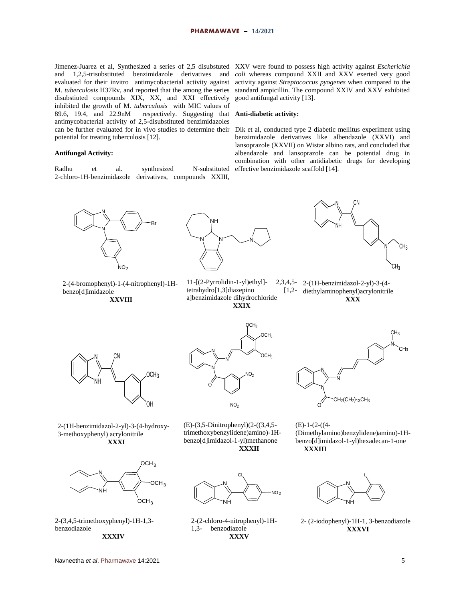Jimenez-Juarez et al, Synthesized a series of 2,5 disubstuted XXV were found to possess high activity against *Escherichia* and 1,2,5-trisubstituted benzimidazole derivatives and evaluated for their invitro antimycobacterial activity against disubstiuted compounds XIX, XX, and XXI effectively inhibited the growth of M. *tuberculosis* with MIC values of 89.6, 19.4, and 22.9nM respectively. Suggesting that **Anti-diabetic activity:** antimycobacterial activity of 2,5-disubstituted benzimidazoles can be further evaluated for in vivo studies to determine their Dik et al, conducted type 2 diabetic mellitus experiment using potential for treating tuberculosis [12].

### **Antifungal Activity:**

Radhu et al. synthesized N-substituted 2‐chloro‐1H‐benzimidazole derivatives, compounds XXIII,

M. *tuberculosis* H37Rv, and reported that the among the series standard ampicillin. The compound XXIV and XXV exhibited *coli* whereas compound XXII and XXV exerted very good activity against *Streptococcus pyogenes* when compared to the good antifungal activity [13].

benzimidazole derivatives like albendazole (XXVI) and lansoprazole (XXVII) on Wistar albino rats, and concluded that albendazole and lansoprazole can be potential drug in combination with other antidiabetic drugs for developing effective benzimidazole scaffold [14].



2-(4-bromophenyl)-1-(4-nitrophenyl)-1Hbenzo[d]imidazole

**XXVIII**



 $11-[2-Pyrrolidin-1-yl)ethyl]$  $tetrahydro[1,3] dia zepino$ a]benzimidazole dihydrochloride



2,3,4,5- 2-(1H-benzimidazol-2-yl)-3-(4-[1,2- diethylaminophenyl) acrylonitrile

**XXIX**

**XXX**



2-(1H-benzimidazol-2-yl)-3-(4-hydroxy-3-methoxyphenyl) acrylonitrile **XXXI**



2-(3,4,5-trimethoxyphenyl)-1H-1,3 benzodiazole **XXXIV**



(E)*-*(3,5*-*Dinitrophenyl)(2*-*((3,4,5 trimethoxybenzylidene)amino)*-*1Hbenzo[d]imidazol*-*1*-*yl)methanone **XXXII**

N

CI.

 $NO<sub>2</sub>$ 

NH

2-(2-chloro-4-nitrophenyl)-1H-

**XXXV**

1,3- benzodiazole



(E)-1-(2-((4- (Dimethylamino)benzylidene)amino)-1Hbenzo[d]imidazol-1-yl)hexadecan-1-one **XXXIII**



2- (2-iodophenyl)-1H-1, 3-benzodiazole **XXXVI**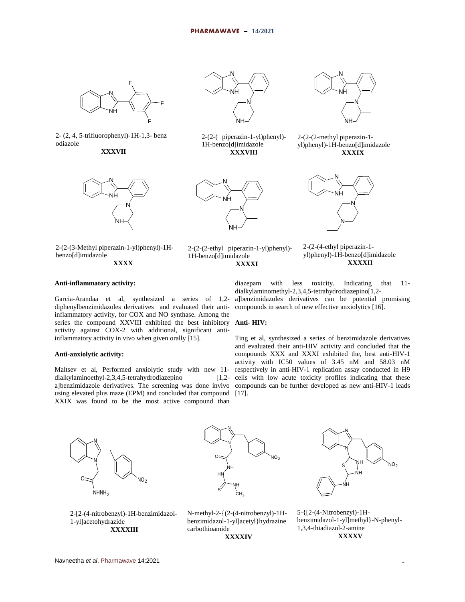

2- (2, 4, 5-trifluorophenyl)-1H-1,3- benz odiazole

**XXXVII**



2-(2-(3-Methyl piperazin-1-yl)phenyl)-1Hbenzo[d]imidazole **XXXX**



2-(2-( piperazin-1-yl)phenyl)- 1H-benzo[d]imidazole **XXXVIII**



2-(2-(2-ethyl piperazin-1-yl)phenyl)- 1H-benzo[d]imidazole **XXXXI**

N NH N NH-∕

2-(2-(2-methyl piperazin-1 yl)phenyl)-1H-benzo[d]imidazole **XXXIX**



2-(2-(4-ethyl piperazin-1 yl)phenyl)-1H-benzo[d]imidazole **XXXXII**

### **Anti-inflammatory activity:**

Garcia-Arandaa et al, synthesized a series of 1,2 diphenylbenzimidazoles derivatives and evaluated their antiinflammatory activity, for COX and NO synthase. Among the series the compound XXVIII exhibited the best inhibitory **Anti- HIV:** activity against COX-2 with additional, significant antiinflammatory activity in vivo when given orally [15].

### **Anti-anxiolytic activity:**

Maltsev et al, Performed anxiolytic study with new 11 dialkylaminoethyl-2,3,4,5-tetrahydrodiazepino [1,2 using elevated plus maze (EPM) and concluded that compound [17]. XXIX was found to be the most active compound than

diazepam with less toxicity. Indicating that 11 dialkylaminomethyl-2,3,4,5-tetrahydrodiazepino[1,2 a]benzimidazoles derivatives can be potential promising compounds in search of new effective anxiolytics [16].

a]benzimidazole derivatives. The screening was done invivo compounds can be further developed as new anti-HIV-1 leads Ting et al, synthesized a series of benzimidazole derivatives and evaluated their anti-HIV activity and concluded that the compounds XXX and XXXI exhibited the, best anti-HIV-1 activity with IC50 values of 3.45 nM and 58.03 nM respectively in anti-HIV-1 replication assay conducted in H9 cells with low acute toxicity profiles indicating that these









5-{[2-(4-Nitrobenzyl)-1Hbenzimidazol-1-yl]methyl}-N-phenyl-1,3,4-thiadiazol-2-amine **XXXXV**

2-[2-(4-nitrobenzyl)-1H-benzimidazol-1-yl]acetohydrazide **XXXXIII**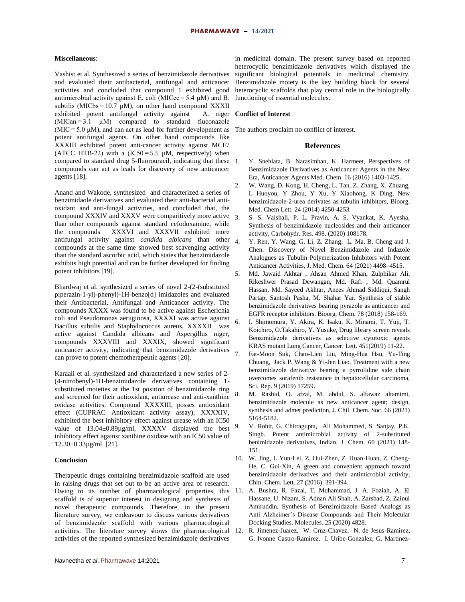### **Miscellaneous**:

Vashist et al, Synthesized a series of benzimidazole derivatives and evaluated their antibacterial, antifungal and anticancer activities and concluded that compound 1 exhibited good antimicrobial activity against E. coli (MICec =  $5.4 \mu$ M) and B. subtilis (MICbs = 10.7  $\mu$ M), on other hand compound XXXII exhibited potent antifungal activity against A. niger  $(MICan = 3.1 \quad \mu M)$  compared to standard fluconazole  $(MIC = 5.0 \mu M)$ , and can act as lead for further development as The authors proclaim no conflict of interest. potent antifungal agents. On other hand compounds like XXXIII exhibited potent anti-cancer activity against MCF7 (ATCC HTB-22) with a  $(IC50=5.5 \mu M,$  respectively) when compared to standard drug 5-fluorouracil, indicating that these 1. compounds can act as leads for discovery of new anticancer agents [18].

Anand and Wakode, synthesized and characterized a series of benzimidaole derivatives and evaluated their anti-bacterial antioxidant and anti-fungal activities, and concluded that, the compound XXXIV and XXXV were comparitively more active than other compounds against standard cefodoxamine, while<br>the compounds XXXVI and XXXVII exhibited more XXXVI and XXXVII exhibited more antifungal activity against *candida albicans* than other compounds at the same time showed best scavenging activity than the standard ascorbic acid, which states that benzimidazole exhibits high potential and can be further developed for finding potent inhibitors [19].

Bhardwaj et al. synthesized a series of novel 2-(2-(substituted piperazin-1-yl)-phenyl)-1H-benzo[d] imidazoles and evaluated their Antibacterial, Antifungal and Anticancer activity. The compounds XXXX was found to be active against Escherichia coli and Pseudomonas aeruginosa, XXXXI was active against Bacillus subtilis and Staphylococcus aureus, XXXXII was active against Candida albicans and Aspergillus niger, compounds XXXVIII and XXXIX, showed significant anticancer activity, indicating that benzimidazole derivatives can prove to potent chemotherapeutic agents [20].

Karaali et al. synthesized and characterized a new series of 2- (4-nitrobenyl)-1H-benzimidazole derivatives containing 1 substituted moieties at the 1st position of benzimidazole ring and screened for their antioxidant, antiurease and anti-xanthine oxidase activities. Compound XXXXIII, posses antioxidant effect (CUPRAC Antioxidant activity assay), XXXXIV, exhibited the best inhibitory effect against urease with an IC50 value of 13.04±0.89µg/ml, XXXXV displayed the best inhibitory effect against xanthine oxidase with an IC50 value of 12.30±0.33µg/ml [21].

### **Conclusion**

Therapeutic drugs containing benzimidazole scaffold are used in raising drugs that set out to be an active area of research. Owing to its number of pharmacological properties, this scaffold is of superior interest in designing and synthesis of novel therapeutic compounds. Therefore, in the present literature survey, we endeavour to discuss various derivatives of benzimidazole scaffold with various pharmacological activities. The literature survey shows the pharmacological activities of the reported synthesized benzimidazole derivatives

### **Conflict of Interest**

### **References**

- 1. Y. Snehlata, B. Narasimhan, K. Harmeet, Perspectives of Benzimidazole Derivatives as Anticancer Agents in the New Era, Anticancer Agents Med. Chem. 16 (2016) 1403-1425.
- 2. W. Wang, D. Kong, H. Cheng, L. Tan, Z. Zhang, X. Zhuang, L Huoyou, Y Zhou, Y Xu, Y Xiaohong, K Ding, New benzimidazole-2-urea derivates as tubulin inhibitors, Bioorg. Med. Chem Lett. 24 (2014) 4250-4253.
- 3. S. S. Vaishali, P. L. Pravin, A. S. Vyankat, K. Ayesha, Synthesis of benzimidazole nucleosides and their anticancer activity, Carbohydr. Res. 498. (2020) 108178.
- 4. Y. Ren, Y. Wang, G. Li, Z. Zhang, L. Ma, B. Cheng and J. Chen. Discovery of Novel Benzimidazole and Indazole Analogues as Tubulin Polymerization Inhibitors with Potent Anticancer Activities, J. Med. Chem. 64 (2021) 4498–4515.
- 5. Md. Jawaid Akhtar , Ahsan Ahmed Khan, Zulphikar Ali, Rikeshwer Prasad Dewangan, Md. Rafi , Md. Quamrul Hassan, Md. Sayeed Akhtar, Anees Ahmad Siddiqui, Sangh Partap, Santosh Pasha, M. Shahar Yar. Synthesis of stable benzimidazole derivatives bearing pyrazole as anticancer and EGFR receptor inhibitors. Bioorg. Chem. 78 (2018) 158-169.
- 6. I. Shimomura, Y. Akira, K. Isaku, K. Minami, T. Yuji, T. Koichiro, O.Takahiro, Y. Yusuke, Drug library screen reveals Benzimidazole derivatives as selective cytotoxic agents KRAS mutant Lung Cancer, Cancer. Lett. 451(2019) 11-22.
- 7. Fat-Moon Suk, Chao-Lien Liu, Ming-Hua Hsu, Yu-Ting Chuang, Jack P. Wang & Yi-Jen Liao. Treatment with a new benzimidazole derivative bearing a pyrrolidine side chain overcomes sorafenib resistance in hepatocellular carcinoma, Sci. Rep. 9 (2019) 17259.
- 8. M. Rashid, O. afzal, M. abdul, S. alfawaz altamimi, benzimidazole molecule as new anticancer agent; design, synthesis and admet prediction, J. Chil. Chem. Soc. 66 (2021) 5164-5182.
- 9. V. Rohit, G. Chitragupta, Ali Mohammed, S. Sanjay, P.K. Singh. Potent antimicrobial activity of 2-substituted benimidazole derivatives, Indian. J. Chem. 60 (2021) 148- 151.
- 10. W. Jing, L Yun-Lei, Z. Hui-Zhen, Z. Huan-Huan, Z. Cheng-He, C. Gui-Xin, A green and convenient approach toward benzimidazole derivatives and their antimicrobial activity, Chin. Chem. Lett. 27 (2016) 391-394.
- 11. A. Bushra, R. Fazal, T. Muhammad, J. A. Foziah, A. El Hassane, U. Nizam, S. Adnan Ali Shah, A. Zarshad, Z. Zainul Amiruddin, Synthesis of Benzimidazole–Based Analogs as Anti Alzheimer's Disease Compounds and Their Molecular Docking Studies. Molecules. 25 (2020) 4828.
- 12. R. Jimenez-Juarez, W. Cruz-Chavez, N. de Jesus-Ramirez, G. Ivonne Castro-Ramirez, I. Uribe-Gonzalez, G. Martinez-